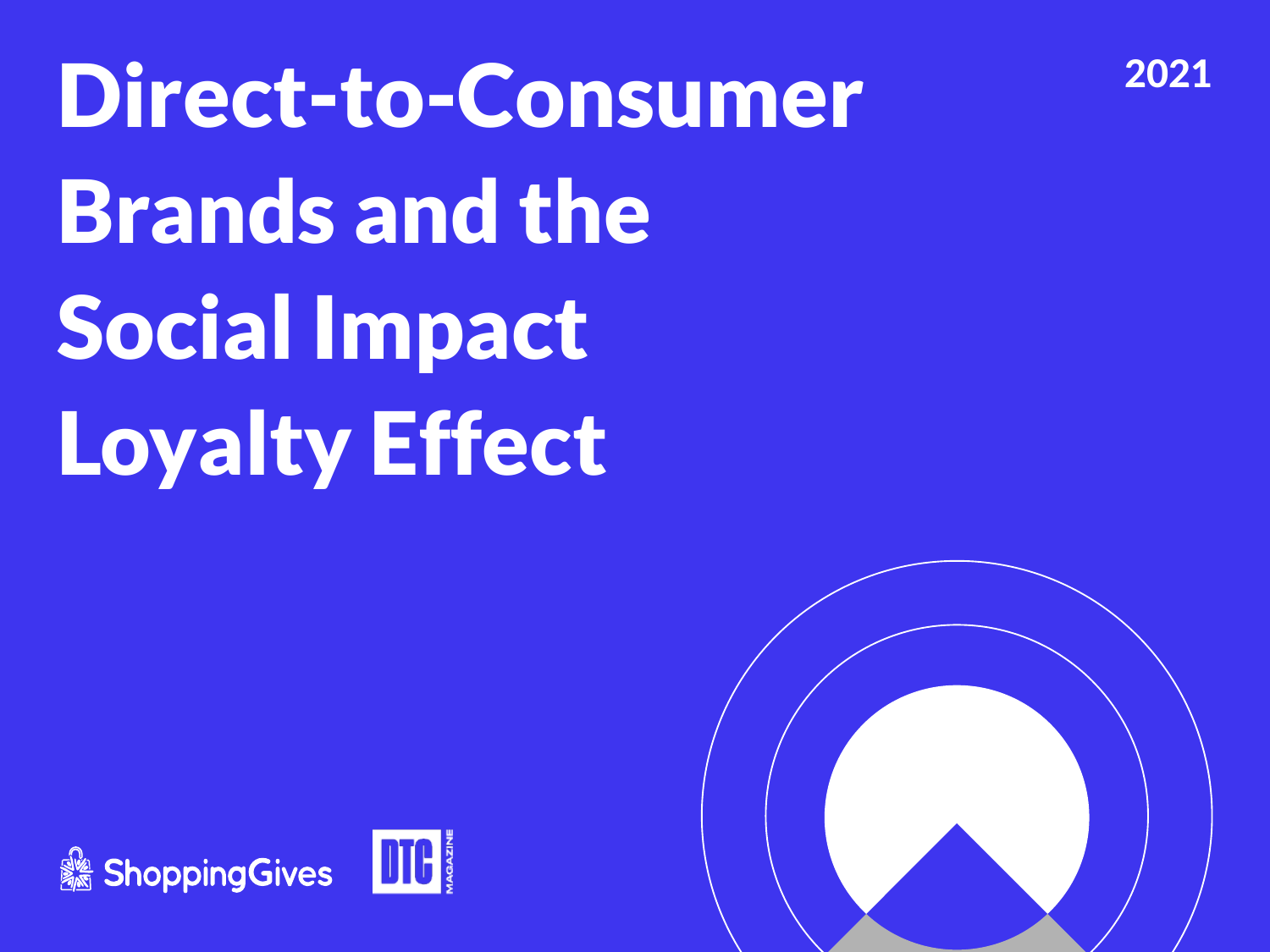Direct-to-Consumer Brands and the Social Impact Loyalty Effect



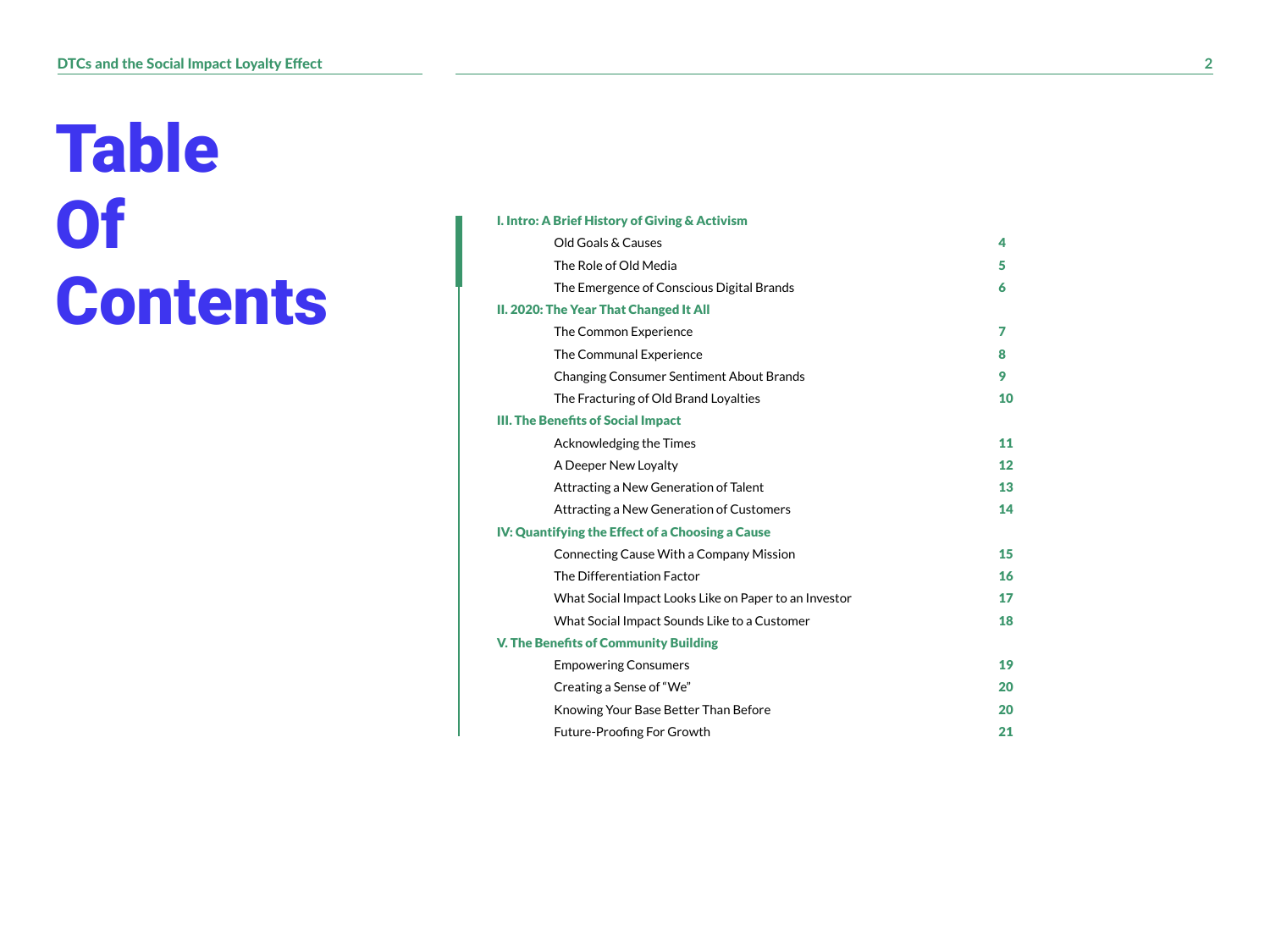# Table **Of Contents**

|  |  |  |  | I. Intro: A Brief History of Giving & Activism |
|--|--|--|--|------------------------------------------------|
|--|--|--|--|------------------------------------------------|

| Old Goals & Causes                                    | 4  |
|-------------------------------------------------------|----|
| The Role of Old Media                                 | 5  |
| The Emergence of Conscious Digital Brands             | 6  |
| II. 2020: The Year That Changed It All                |    |
| The Common Experience                                 | 7  |
| The Communal Experience                               | 8  |
| <b>Changing Consumer Sentiment About Brands</b>       | 9  |
| The Fracturing of Old Brand Loyalties                 | 10 |
| <b>III. The Benefits of Social Impact</b>             |    |
| Acknowledging the Times                               | 11 |
| A Deeper New Loyalty                                  | 12 |
| Attracting a New Generation of Talent                 | 13 |
| Attracting a New Generation of Customers              | 14 |
| IV: Quantifying the Effect of a Choosing a Cause      |    |
| Connecting Cause With a Company Mission               | 15 |
| The Differentiation Factor                            | 16 |
| What Social Impact Looks Like on Paper to an Investor | 17 |
| What Social Impact Sounds Like to a Customer          | 18 |
| <b>V. The Benefits of Community Building</b>          |    |
| <b>Empowering Consumers</b>                           | 19 |
| Creating a Sense of "We"                              | 20 |
| Knowing Your Base Better Than Before                  | 20 |
| Future-Proofing For Growth                            | 21 |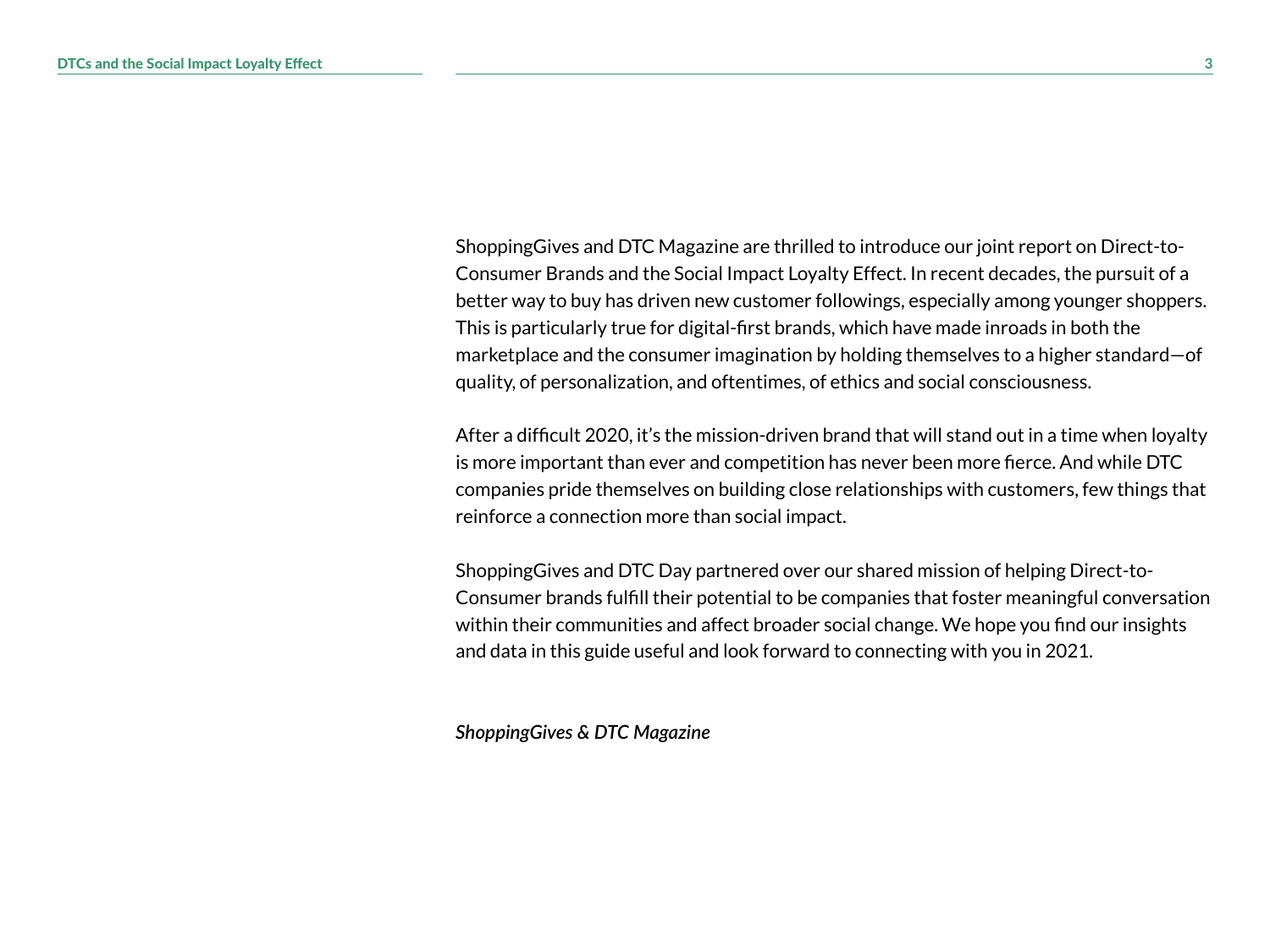ShoppingGives and DTC Magazine are thrilled to introduce our joint report on Direct-to-Consumer Brands and the Social Impact Loyalty Effect. In recent decades, the pursuit of a better way to buy has driven new customer followings, especially among younger shoppers. This is particularly true for digital-first brands, which have made inroads in both the marketplace and the consumer imagination by holding themselves to a higher standard—of quality, of personalization, and oftentimes, of ethics and social consciousness.

After a difficult 2020, it's the mission-driven brand that will stand out in a time when loyalty is more important than ever and competition has never been more fierce. And while DTC companies pride themselves on building close relationships with customers, few things that reinforce a connection more than social impact.

ShoppingGives and DTC Day partnered over our shared mission of helping Direct-to-Consumer brands fulfill their potential to be companies that foster meaningful conversation within their communities and affect broader social change. We hope you find our insights and data in this guide useful and look forward to connecting with you in 2021.

*ShoppingGives & DTC Magazine*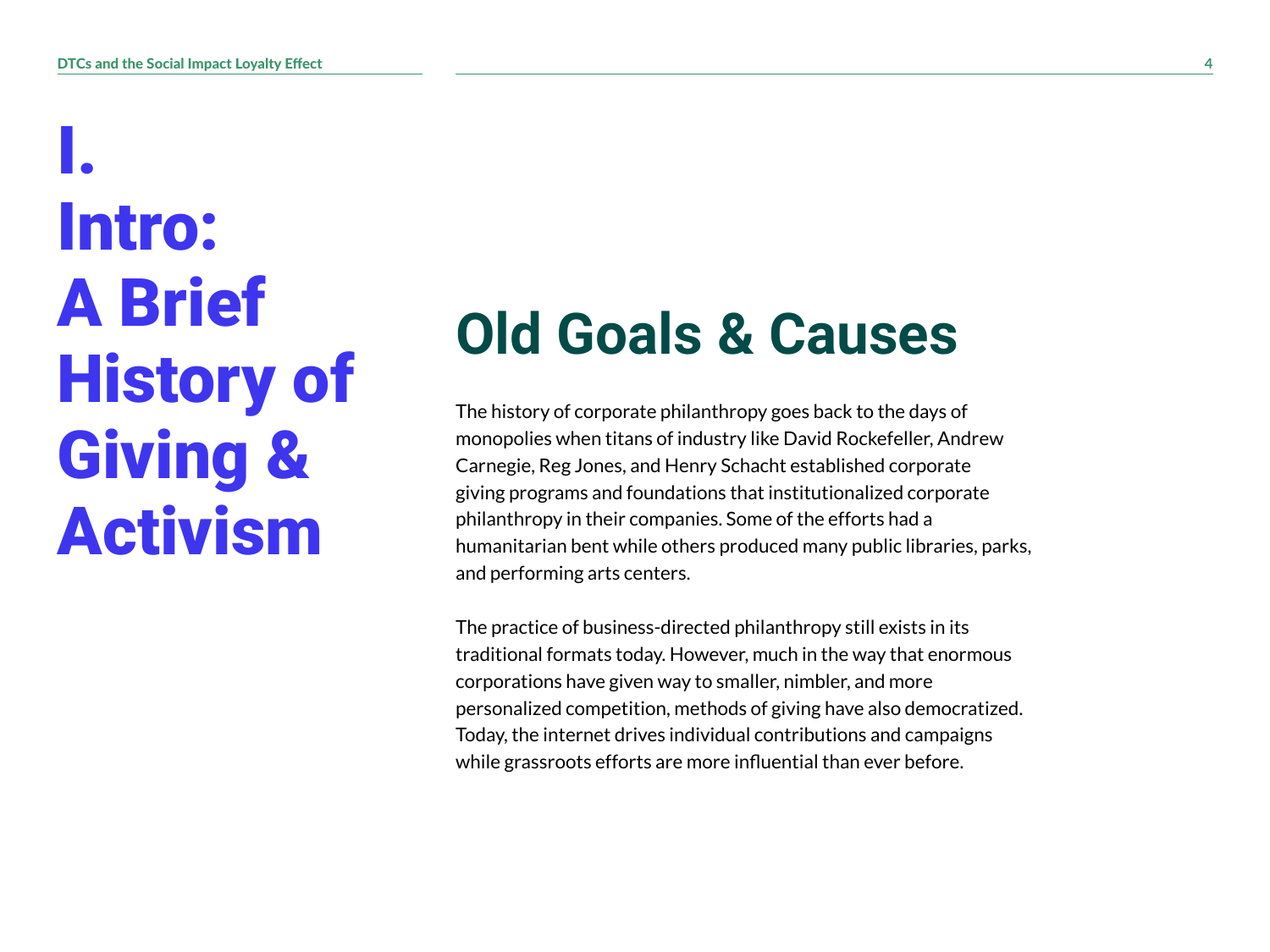I. Intro: A Brief History of Giving & Activism

#### **Old Goals & Causes**

The history of corporate philanthropy goes back to the days of monopolies when titans of industry like David Rockefeller, Andrew Carnegie, Reg Jones, and Henry Schacht established corporate giving programs and foundations that institutionalized corporate philanthropy in their companies. Some of the efforts had a humanitarian bent while others produced many public libraries, parks, and performing arts centers.

The practice of business-directed philanthropy still exists in its traditional formats today. However, much in the way that enormous corporations have given way to smaller, nimbler, and more personalized competition, methods of giving have also democratized. Today, the internet drives individual contributions and campaigns while grassroots efforts are more influential than ever before.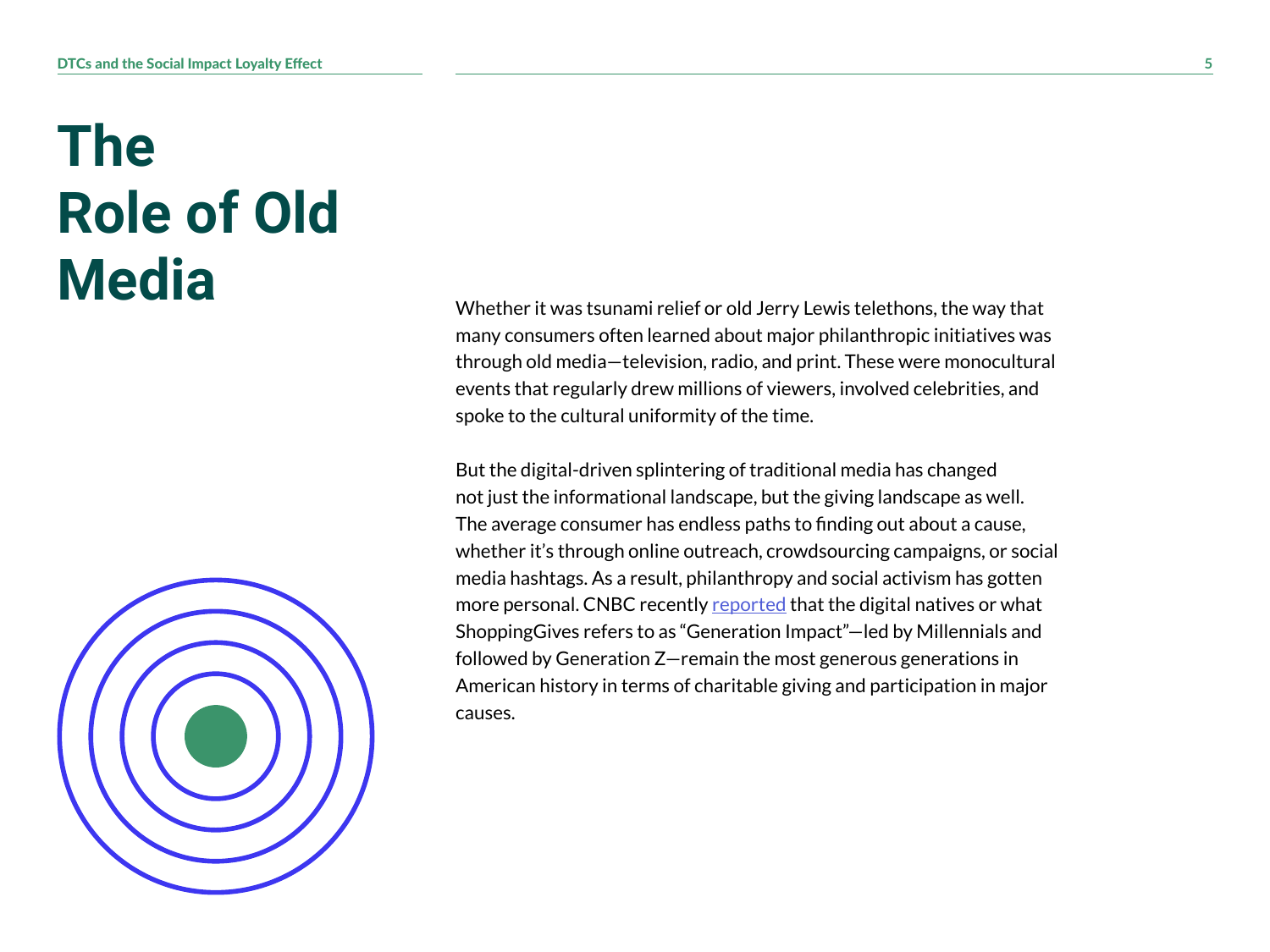#### **The Role of Old Media**



Whether it was tsunami relief or old Jerry Lewis telethons, the way that many consumers often learned about major philanthropic initiatives was through old media—television, radio, and print. These were monocultural events that regularly drew millions of viewers, involved celebrities, and spoke to the cultural uniformity of the time.

But the digital-driven splintering of traditional media has changed not just the informational landscape, but the giving landscape as well. The average consumer has endless paths to finding out about a cause, whether it's through online outreach, crowdsourcing campaigns, or social media hashtags. As a result, philanthropy and social activism has gotten more personal. CNBC recently [reported](https://www.cnbc.com/2020/09/29/more-millennials-donated-money-during-the-pandemic-than-other-generations.html) that the digital natives or what ShoppingGives refers to as "Generation Impact"—led by Millennials and followed by Generation Z—remain the most generous generations in American history in terms of charitable giving and participation in major causes.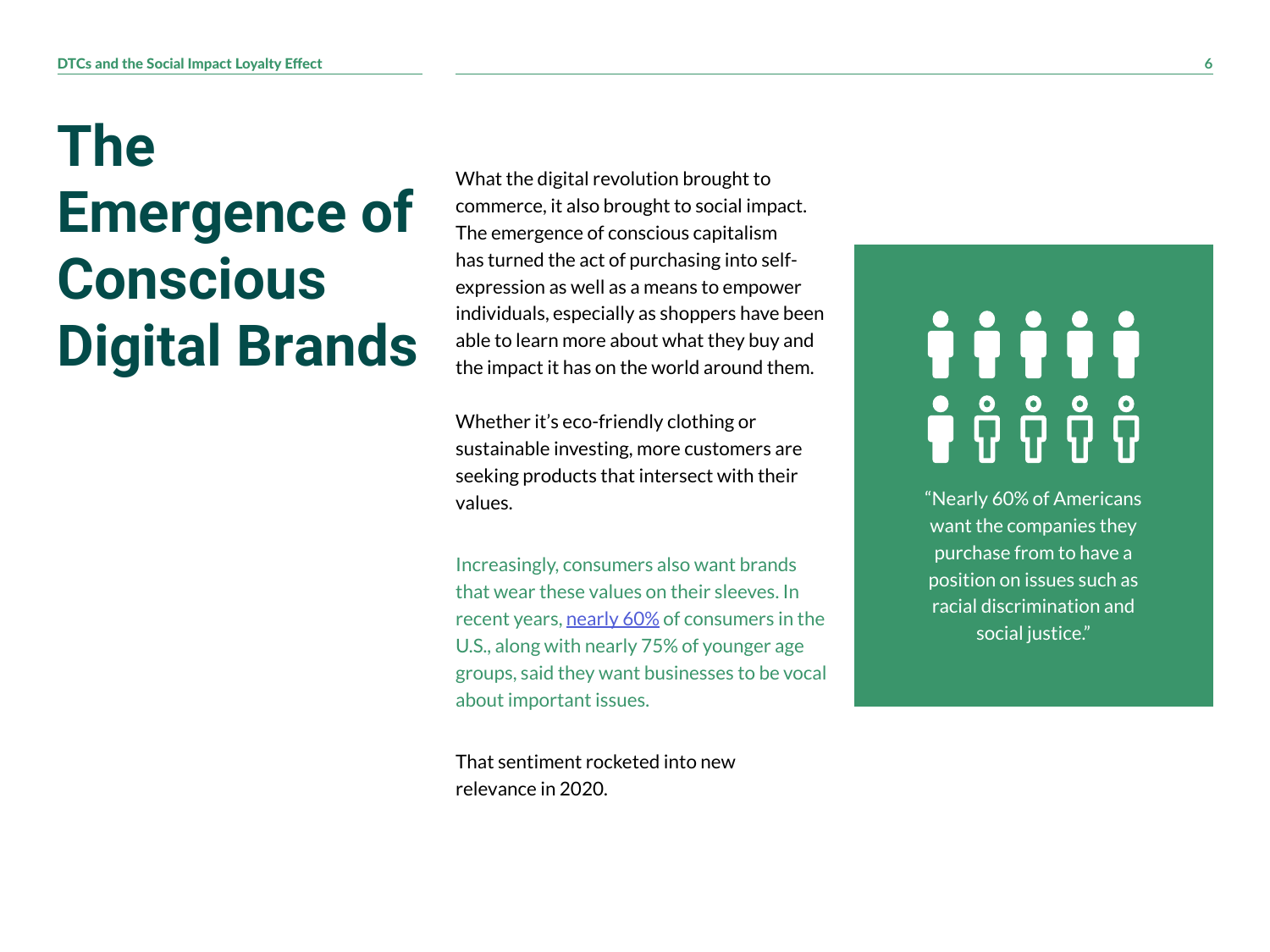#### **The Emergence of Conscious Digital Brands**

What the digital revolution brought to commerce, it also brought to social impact. The emergence of conscious capitalism has turned the act of purchasing into selfexpression as well as a means to empower individuals, especially as shoppers have been able to learn more about what they buy and the impact it has on the world around them.

Whether it's eco-friendly clothing or sustainable investing, more customers are seeking products that intersect with their values.

Increasingly, consumers also want brands that wear these values on their sleeves. In recent years, [nearly](https://www.barrons.com/articles/a-majority-of-consumers-expect-brands-to-take-a-stand-on-issues-before-purchasing-survey-finds-51594143666) 60% of consumers in the U.S., along with nearly 75% of younger age groups, said they want businesses to be vocal about important issues.

That sentiment rocketed into new relevance in 2020.

# iiiii **ពុំ** កុំ កុំ កុំ កុំ

"Nearly 60% of Americans want the companies they purchase from to have a position on issues such as racial discrimination and social justice."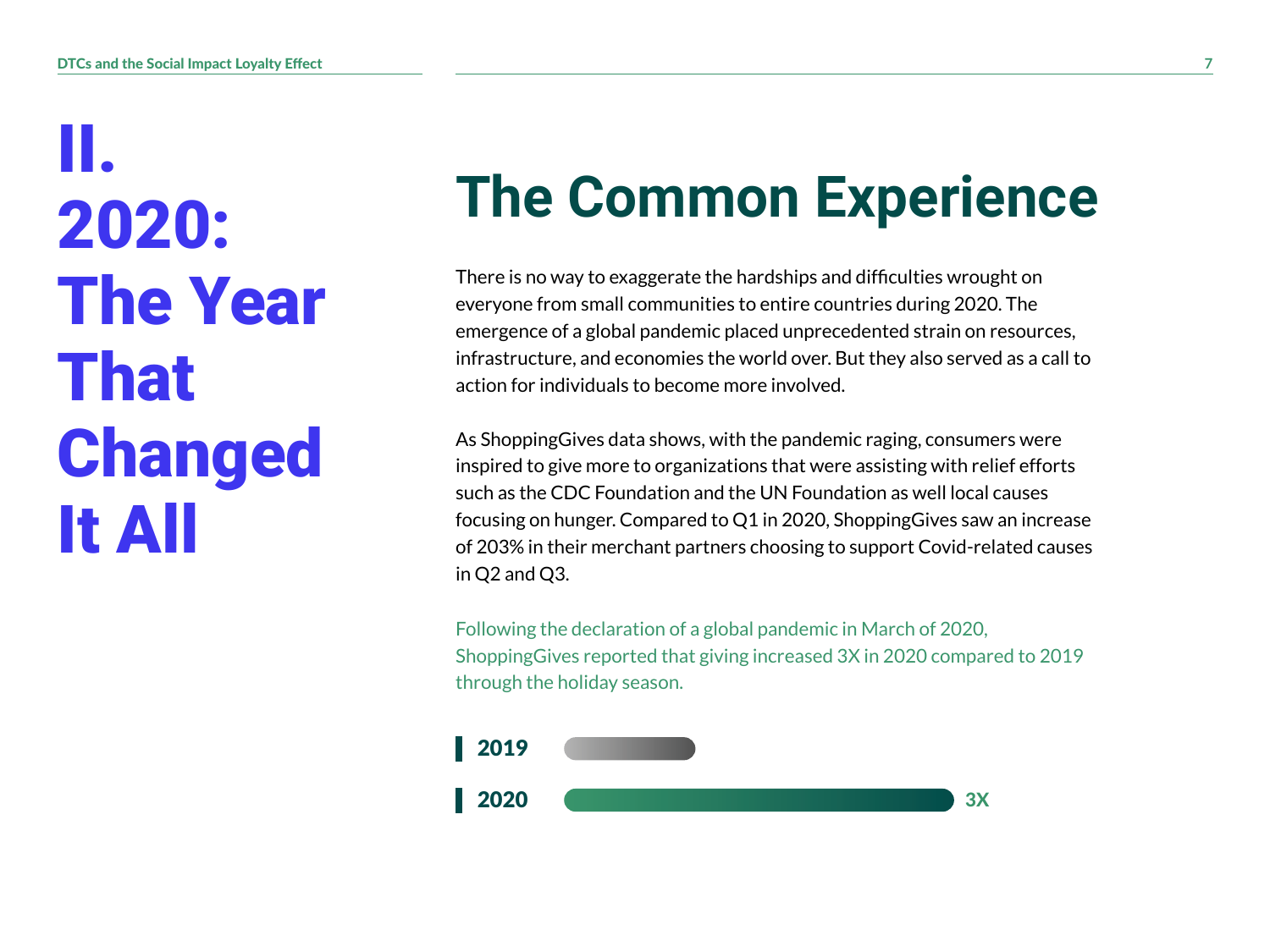II. 2020: The Year That Changed It All

## **The Common Experience**

There is no way to exaggerate the hardships and difficulties wrought on everyone from small communities to entire countries during 2020. The emergence of a global pandemic placed unprecedented strain on resources, infrastructure, and economies the world over. But they also served as a call to action for individuals to become more involved.

As ShoppingGives data shows, with the pandemic raging, consumers were inspired to give more to organizations that were assisting with relief efforts such as the CDC Foundation and the UN Foundation as well local causes focusing on hunger. Compared to Q1 in 2020, ShoppingGives saw an increase of 203% in their merchant partners choosing to support Covid-related causes in Q2 and Q3.

Following the declaration of a global pandemic in March of 2020, ShoppingGives reported that giving increased 3X in 2020 compared to 2019 through the holiday season.

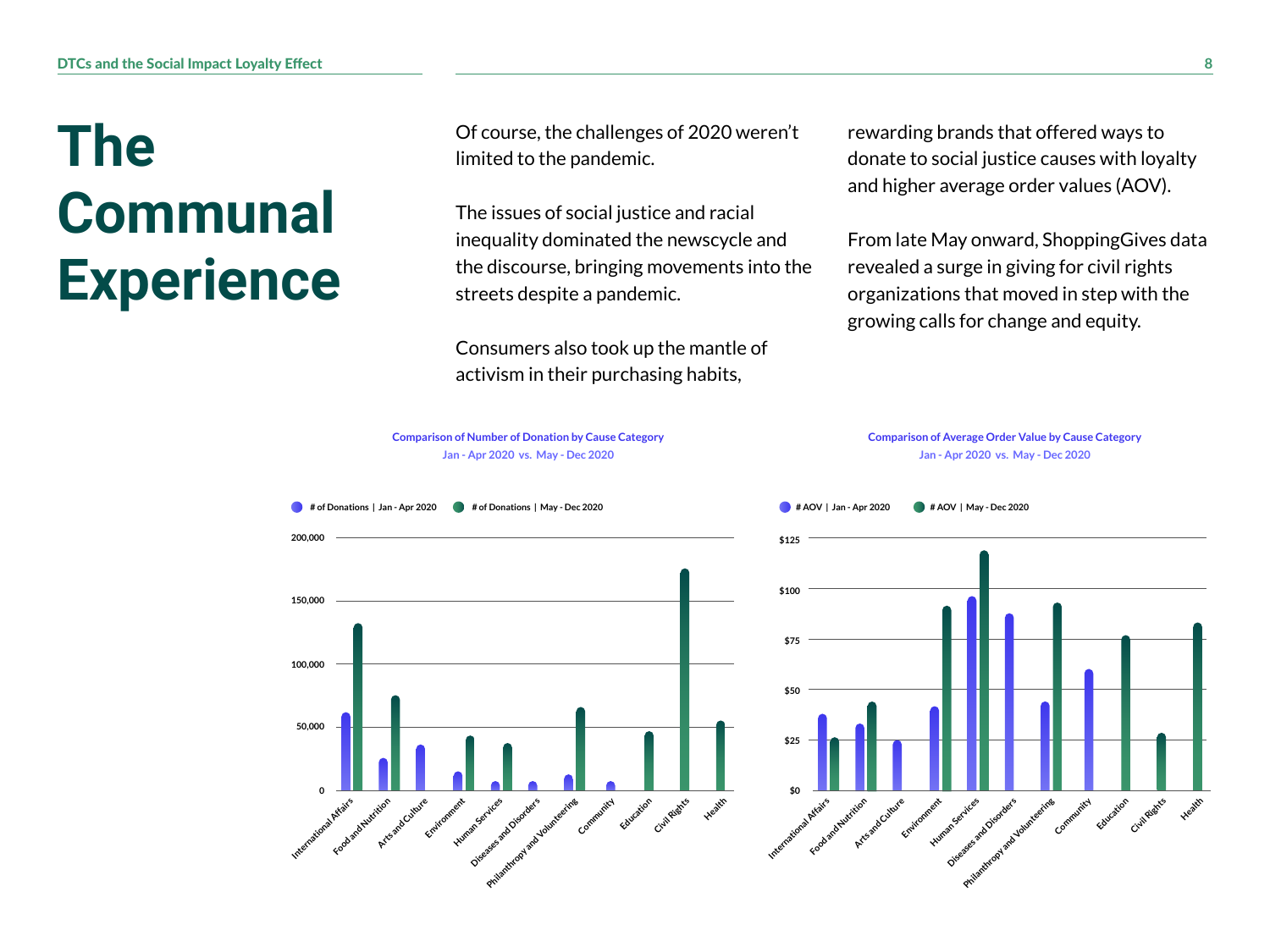#### **The Communal Experience**

Of course, the challenges of 2020 weren't limited to the pandemic.

The issues of social justice and racial inequality dominated the newscycle and the discourse, bringing movements into the streets despite a pandemic.

Consumers also took up the mantle of activism in their purchasing habits,

rewarding brands that offered ways to donate to social justice causes with loyalty and higher average order values (AOV).

From late May onward, ShoppingGives data revealed a surge in giving for civil rights organizations that moved in step with the growing calls for change and equity.

**Comparison of Average Order Value by Cause Category Jan - Apr 2020 vs. May - Dec 2020**

![](_page_7_Figure_7.jpeg)

**Comparison of Number of Donation by Cause Category Jan - Apr 2020 vs. May - Dec 2020**

![](_page_7_Figure_8.jpeg)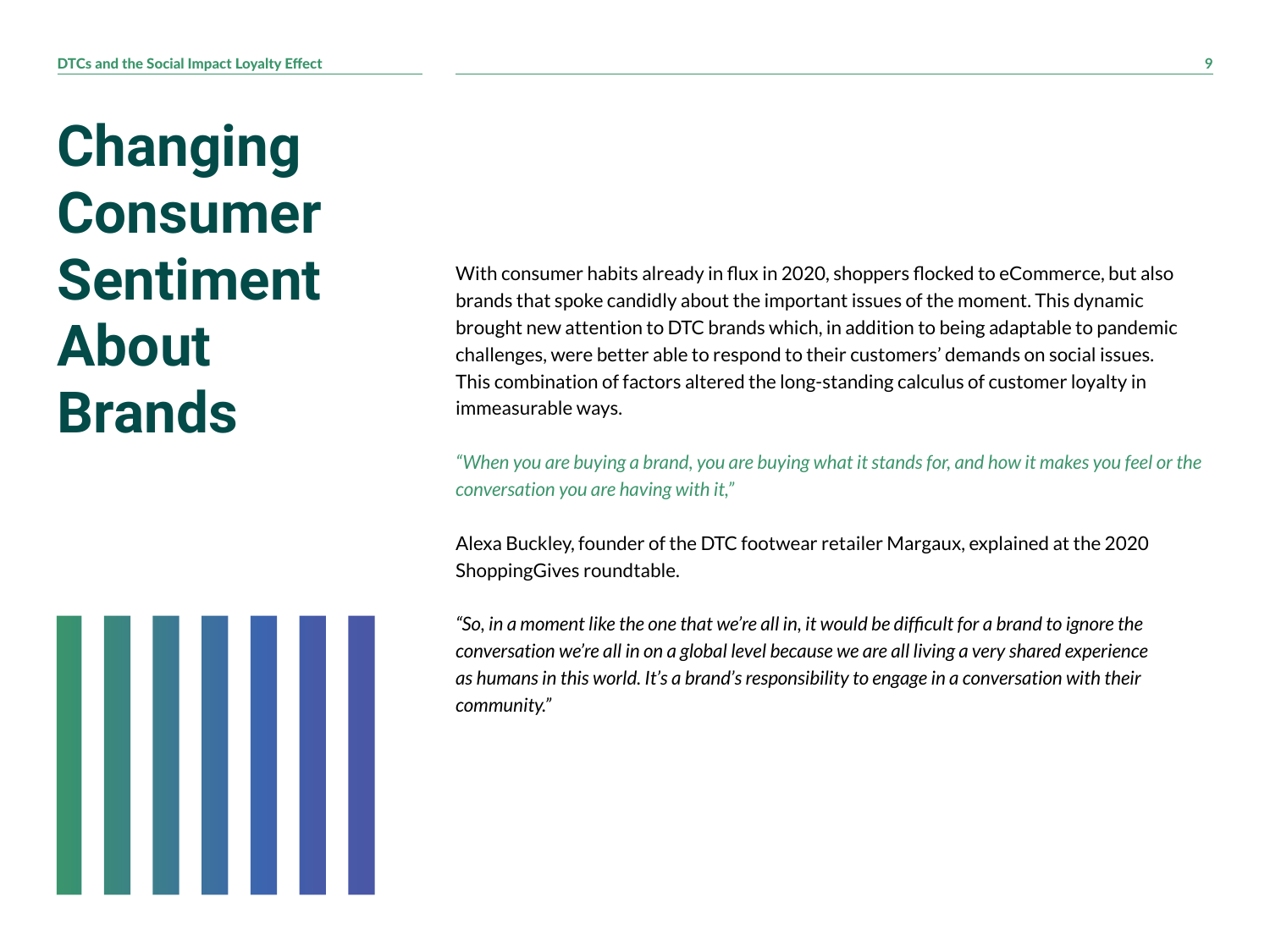**Changing Consumer Sentiment About Brands**

![](_page_8_Picture_2.jpeg)

With consumer habits already in flux in 2020, shoppers flocked to eCommerce, but also brands that spoke candidly about the important issues of the moment. This dynamic brought new attention to DTC brands which, in addition to being adaptable to pandemic challenges, were better able to respond to their customers' demands on social issues. This combination of factors altered the long-standing calculus of customer loyalty in immeasurable ways.

*"When you are buying a brand, you are buying what it stands for, and how it makes you feel or the conversation you are having with it,"* 

Alexa Buckley, founder of the DTC footwear retailer Margaux, explained at the 2020 ShoppingGives roundtable.

*"So, in a moment like the one that we're all in, it would be difficult for a brand to ignore the conversation we're all in on a global level because we are all living a very shared experience as humans in this world. It's a brand's responsibility to engage in a conversation with their community."*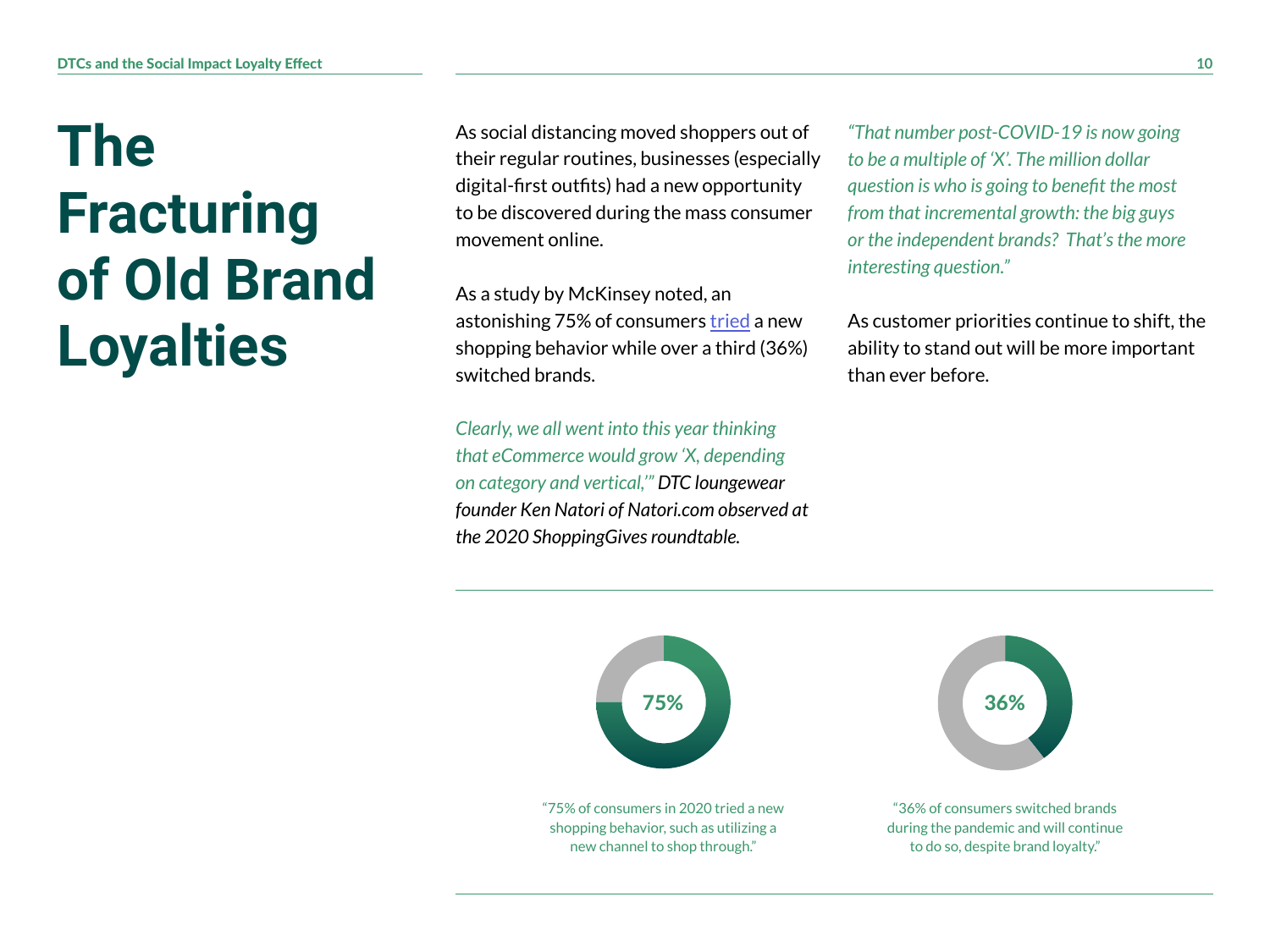#### **The Fracturing of Old Brand Loyalties**

As social distancing moved shoppers out of their regular routines, businesses (especially digital-first outfits) had a new opportunity to be discovered during the mass consumer movement online.

As a study by McKinsey noted, an astonishing 75% of consumers [tried](https://www.mckinsey.com/business-functions/marketing-and-sales/our-insights/the-great-consumer-shift-ten-charts-that-show-how-us-shopping-behavior-is-changing) a new shopping behavior while over a third (36%) switched brands.

*Clearly, we all went into this year thinking that eCommerce would grow 'X, depending on category and vertical,'" DTC loungewear founder Ken Natori of Natori.com observed at the 2020 ShoppingGives roundtable.*

*"That number post-COVID-19 is now going to be a multiple of 'X'. The million dollar question is who is going to benefit the most from that incremental growth: the big guys or the independent brands? That's the more interesting question."*

As customer priorities continue to shift, the ability to stand out will be more important than ever before.

![](_page_9_Figure_7.jpeg)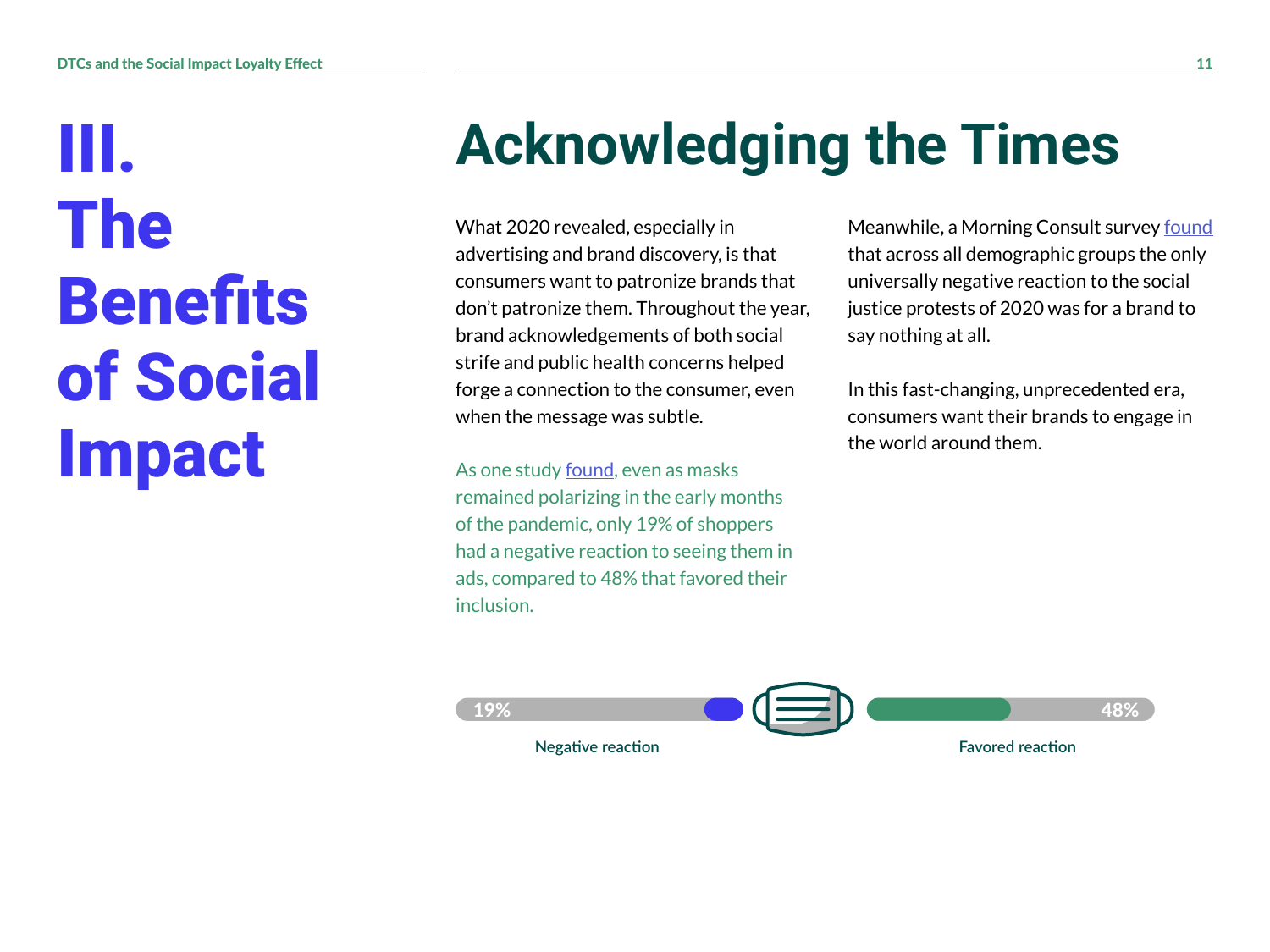III. The **Benefits** of Social Impact

## **Acknowledging the Times**

What 2020 revealed, especially in advertising and brand discovery, is that consumers want to patronize brands that don't patronize them. Throughout the year, brand acknowledgements of both social strife and public health concerns helped forge a connection to the consumer, even when the message was subtle.

As one study [found,](https://www.marketingdive.com/news/face-masks-in-ads-viewed-favorably-by-consumers-study-says/582325/) even as masks remained polarizing in the early months of the pandemic, only 19% of shoppers had a negative reaction to seeing them in ads, compared to 48% that favored their inclusion.

Meanwhile, a Morning Consult survey [found](https://morningconsult.com/2020/06/02/brands-black-lives-matter-response-poll/) that across all demographic groups the only universally negative reaction to the social justice protests of 2020 was for a brand to say nothing at all.

In this fast-changing, unprecedented era, consumers want their brands to engage in the world around them.

![](_page_10_Picture_7.jpeg)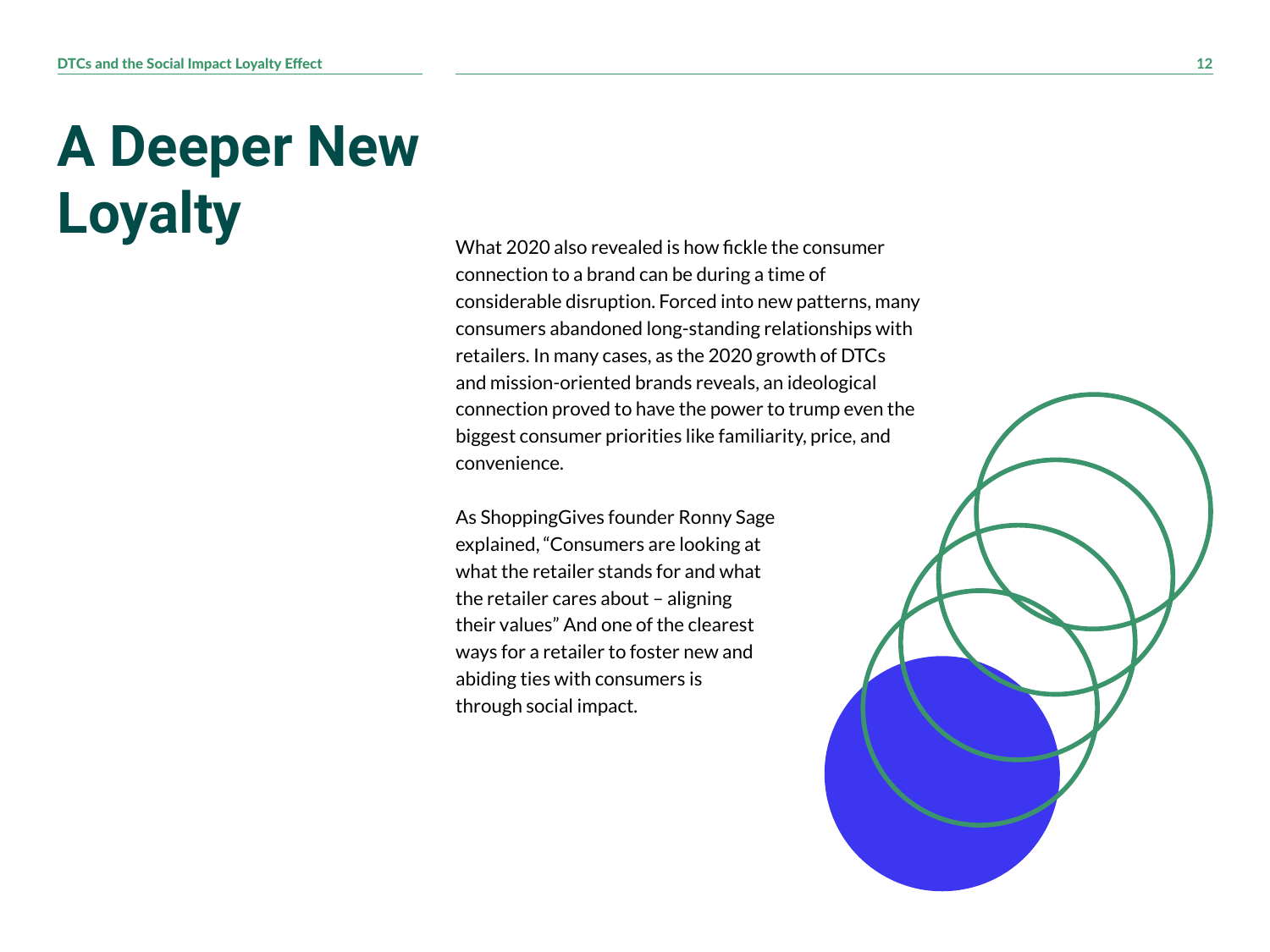### **A Deeper New Loyalty** What <sup>2020</sup> also revealed is how fickle the consumer

connection to a brand can be during a time of considerable disruption. Forced into new patterns, many consumers abandoned long-standing relationships with retailers. In many cases, as the 2020 growth of DTCs and mission-oriented brands reveals, an ideological connection proved to have the power to trump even the biggest consumer priorities like familiarity, price, and convenience.

As ShoppingGives founder Ronny Sage explained, "Consumers are looking at what the retailer stands for and what the retailer cares about – aligning their values" And one of the clearest ways for a retailer to foster new and abiding ties with consumers is through social impact.

![](_page_11_Picture_4.jpeg)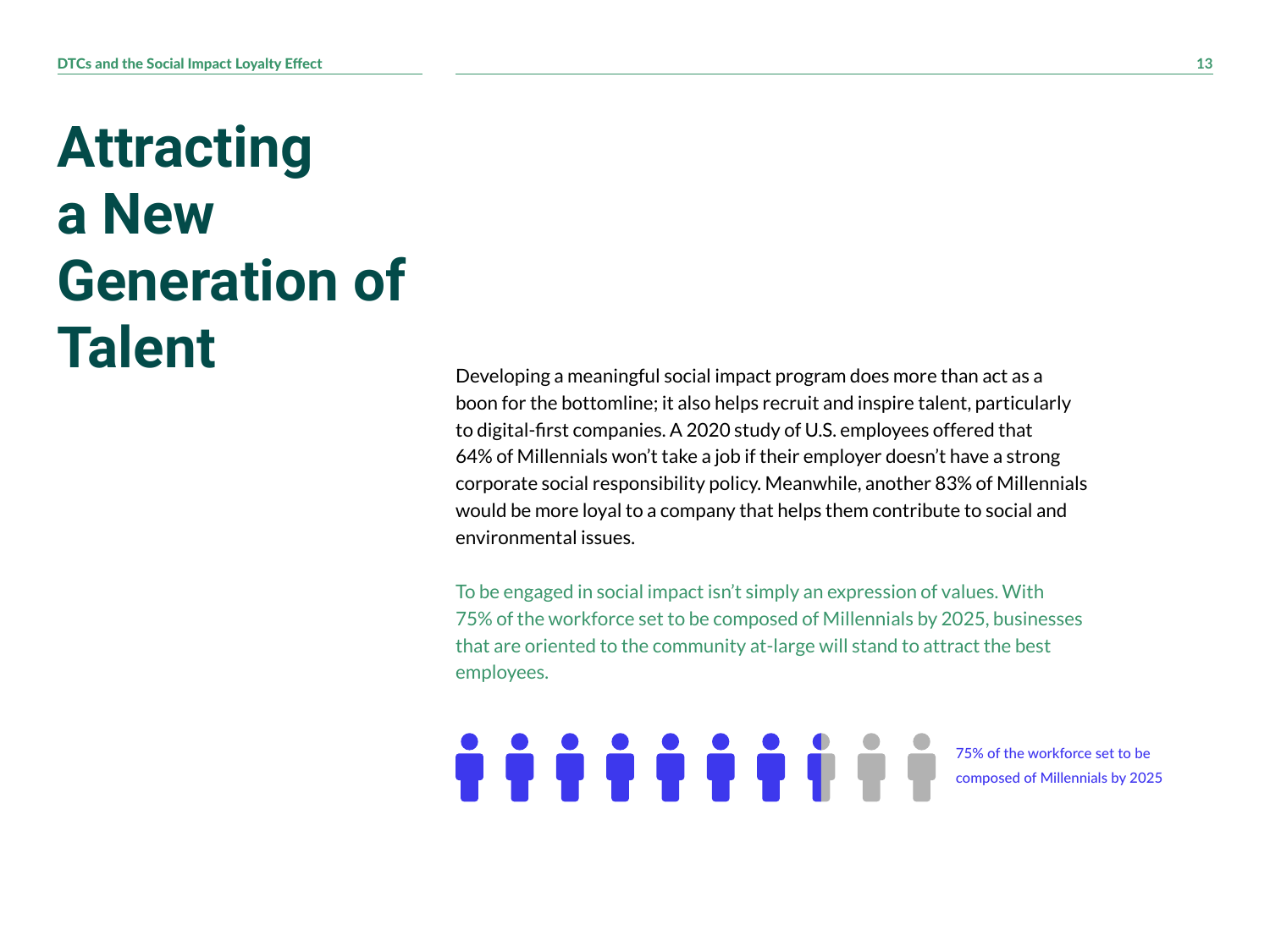#### **Attracting a New Generation of Talent**

Developing a meaningful social impact program does more than act as a boon for the bottomline; it also helps recruit and inspire talent, particularly to digital-first companies. A 2020 study of U.S. employees offered that 64% of Millennials won't take a job if their employer doesn't have a strong corporate social responsibility policy. Meanwhile, another 83% of Millennials would be more loyal to a company that helps them contribute to social and environmental issues.

To be engaged in social impact isn't simply an expression of values. With 75% of the workforce set to be composed of Millennials by 2025, businesses that are oriented to the community at-large will stand to attract the best employees.

<u>. . . . . . . . . .</u>

75% of the workforce set to be composed of Millennials by 2025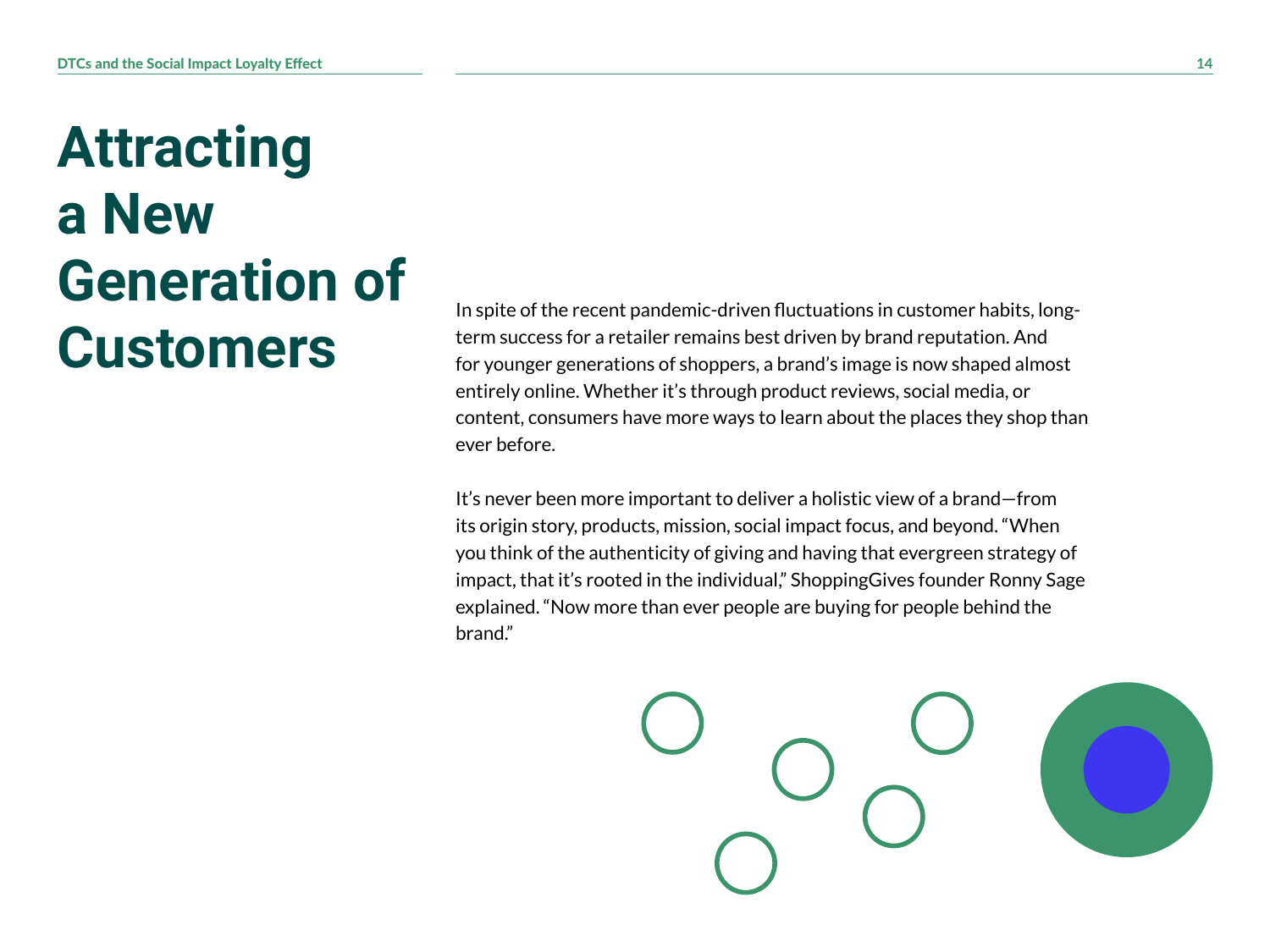#### **Attracting a New Generation of Customers**

In spite of the recent pandemic-driven fluctuations in customer habits, longterm success for a retailer remains best driven by brand reputation. And for younger generations of shoppers, a brand's image is now shaped almost entirely online. Whether it's through product reviews, social media, or content, consumers have more ways to learn about the places they shop than ever before.

It's never been more important to deliver a holistic view of a brand—from its origin story, products, mission, social impact focus, and beyond. "When you think of the authenticity of giving and having that evergreen strategy of impact, that it's rooted in the individual," ShoppingGives founder Ronny Sage explained. "Now more than ever people are buying for people behind the brand."

![](_page_13_Picture_4.jpeg)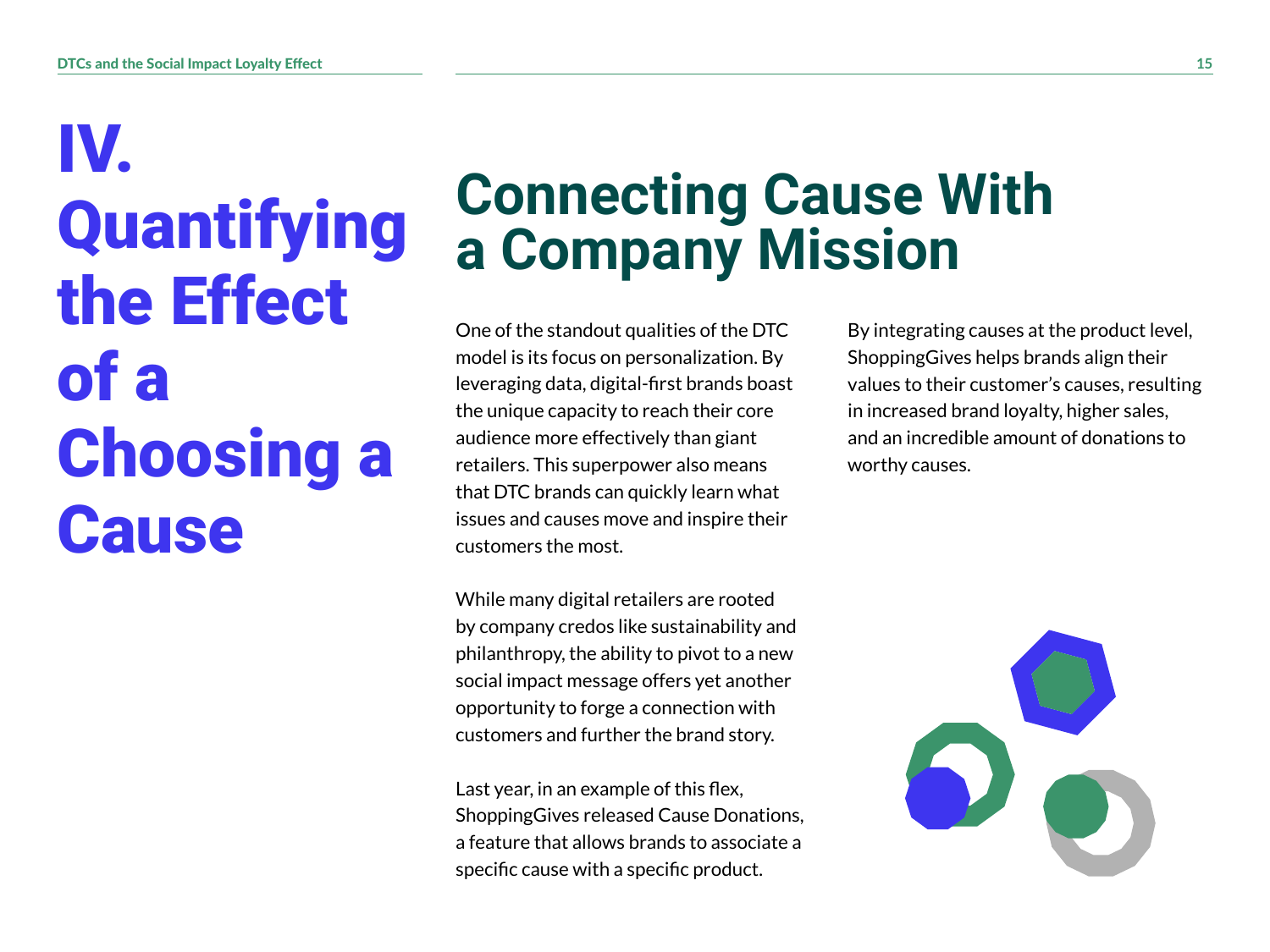# IV. Quantifying the Effect of a Choosing a **Cause**

#### **Connecting Cause With a Company Mission**

One of the standout qualities of the DTC model is its focus on personalization. By leveraging data, digital-first brands boast the unique capacity to reach their core audience more effectively than giant retailers. This superpower also means that DTC brands can quickly learn what issues and causes move and inspire their customers the most.

While many digital retailers are rooted by company credos like sustainability and philanthropy, the ability to pivot to a new social impact message offers yet another opportunity to forge a connection with customers and further the brand story.

Last year, in an example of this flex, ShoppingGives released Cause Donations, a feature that allows brands to associate a specific cause with a specific product.

By integrating causes at the product level, ShoppingGives helps brands align their values to their customer's causes, resulting in increased brand loyalty, higher sales, and an incredible amount of donations to worthy causes.

![](_page_14_Picture_7.jpeg)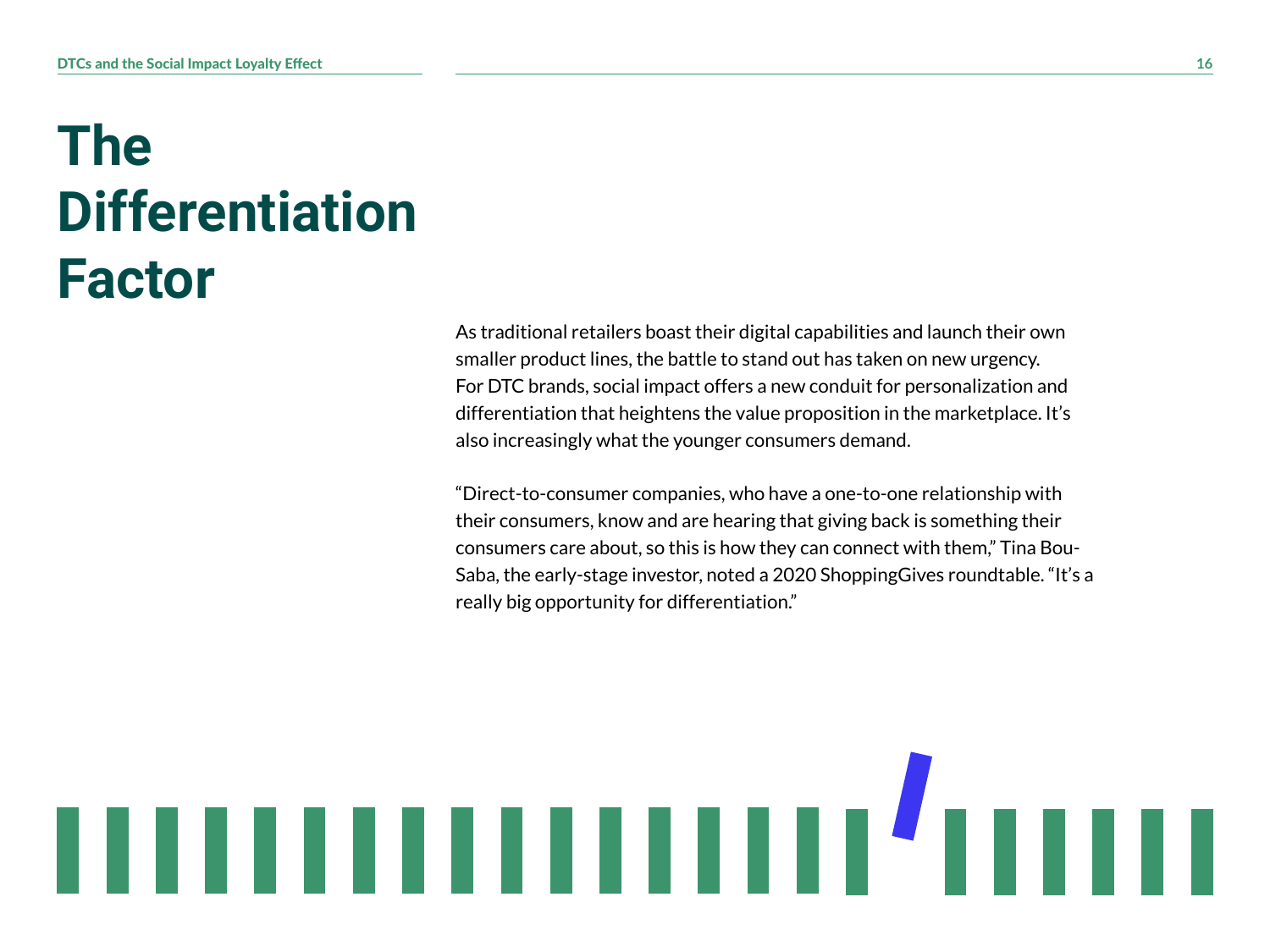#### **The Differentiation Factor**

As traditional retailers boast their digital capabilities and launch their own smaller product lines, the battle to stand out has taken on new urgency. For DTC brands, social impact offers a new conduit for personalization and differentiation that heightens the value proposition in the marketplace. It's also increasingly what the younger consumers demand.

"Direct-to-consumer companies, who have a one-to-one relationship with their consumers, know and are hearing that giving back is something their consumers care about, so this is how they can connect with them," Tina Bou-Saba, the early-stage investor, noted a 2020 ShoppingGives roundtable. "It's a really big opportunity for differentiation."

![](_page_15_Picture_4.jpeg)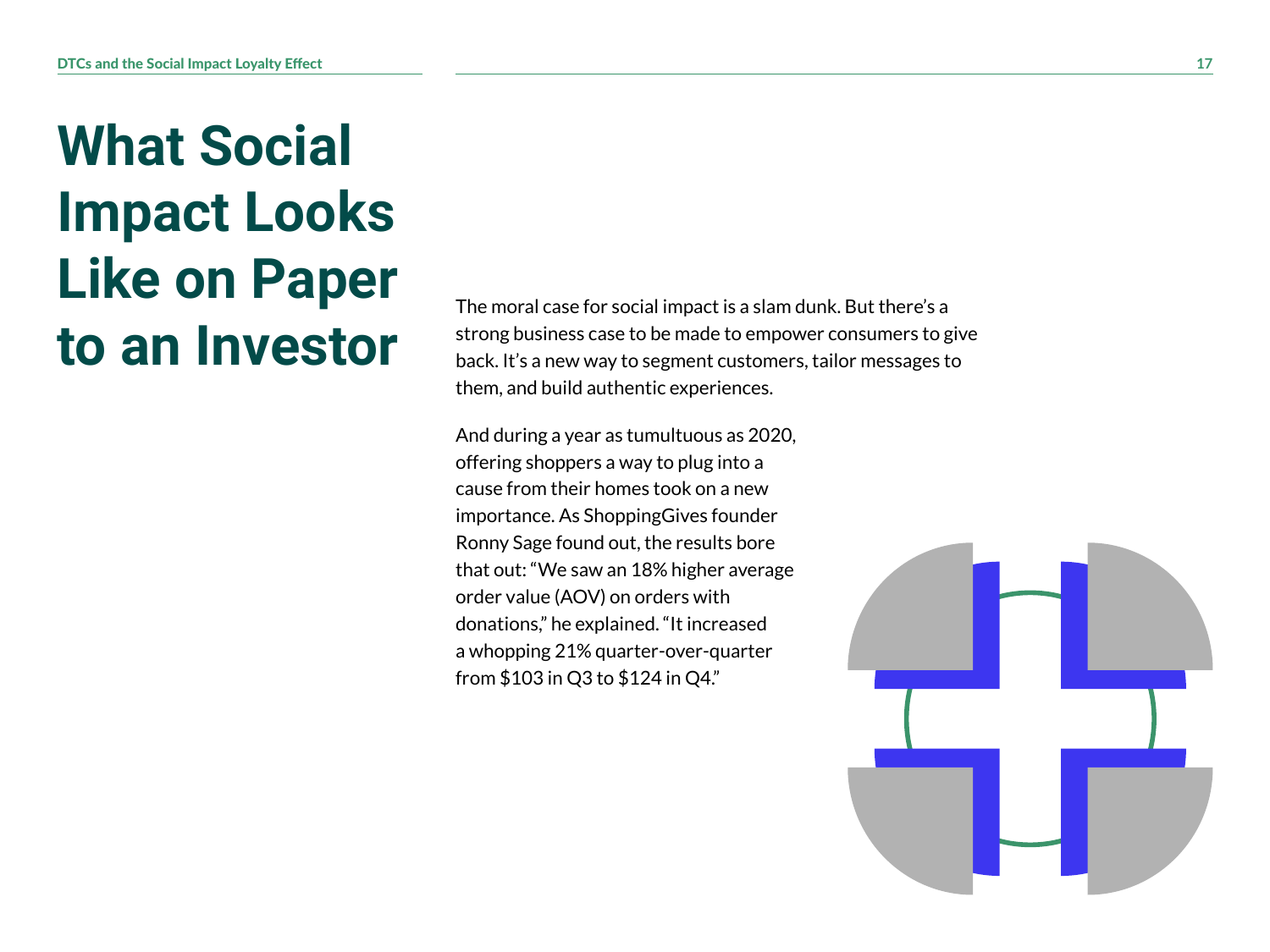#### **What Social Impact Looks Like on Paper to an Investor**

The moral case for social impact is a slam dunk. But there's a strong business case to be made to empower consumers to give back. It's a new way to segment customers, tailor messages to them, and build authentic experiences.

And during a year as tumultuous as 2020, offering shoppers a way to plug into a cause from their homes took on a new importance. As ShoppingGives founder Ronny Sage found out, the results bore that out: "We saw an 18% higher average order value (AOV) on orders with donations," he explained. "It increased a whopping 21% quarter-over-quarter from \$103 in Q3 to \$124 in Q4."

![](_page_16_Picture_4.jpeg)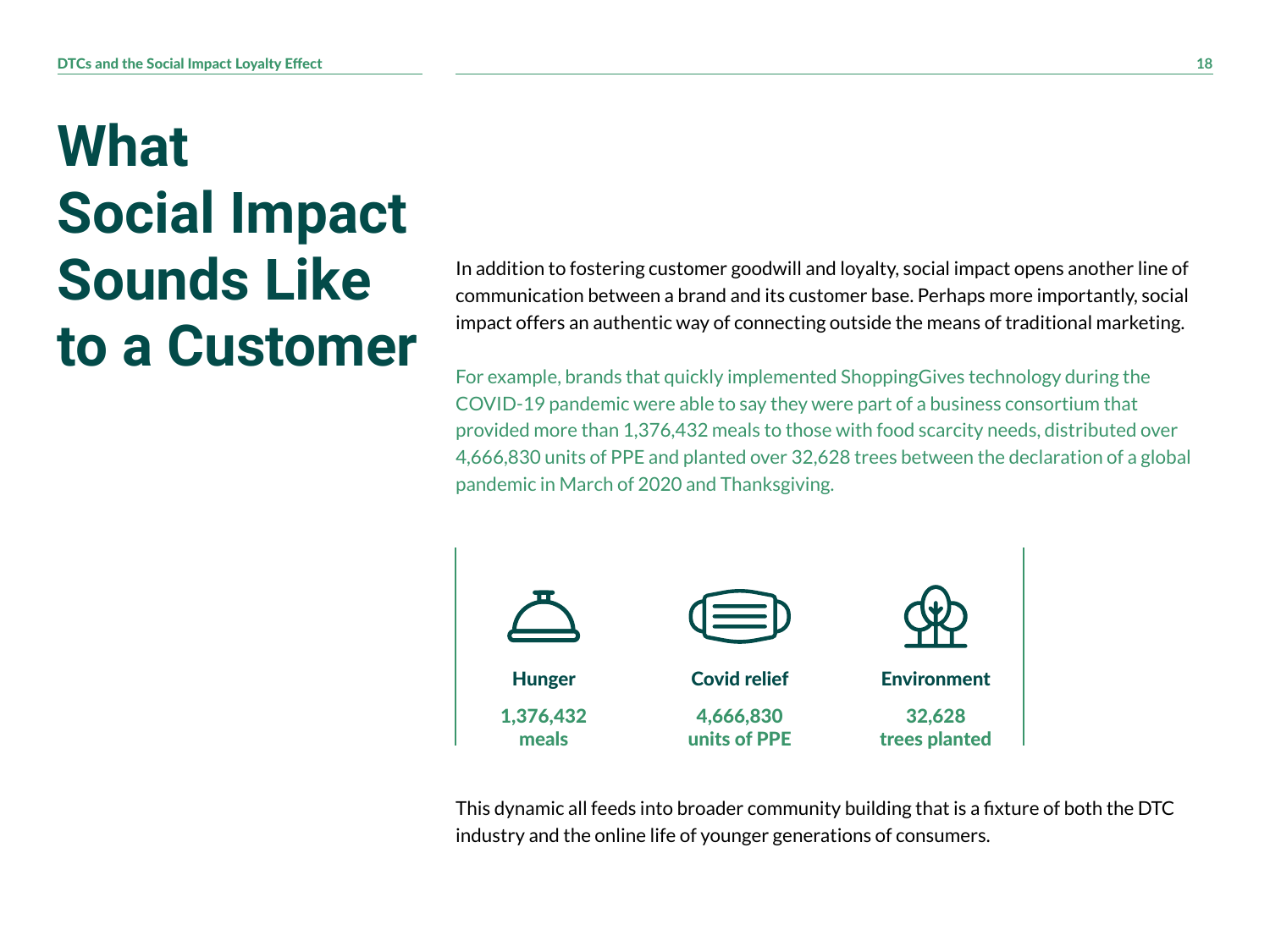#### **What Social Impact Sounds Like to a Customer**

In addition to fostering customer goodwill and loyalty, social impact opens another line of communication between a brand and its customer base. Perhaps more importantly, social impact offers an authentic way of connecting outside the means of traditional marketing.

For example, brands that quickly implemented ShoppingGives technology during the COVID-19 pandemic were able to say they were part of a business consortium that provided more than 1,376,432 meals to those with food scarcity needs, distributed over 4,666,830 units of PPE and planted over 32,628 trees between the declaration of a global pandemic in March of 2020 and Thanksgiving.

![](_page_17_Figure_4.jpeg)

This dynamic all feeds into broader community building that is a fixture of both the DTC industry and the online life of younger generations of consumers.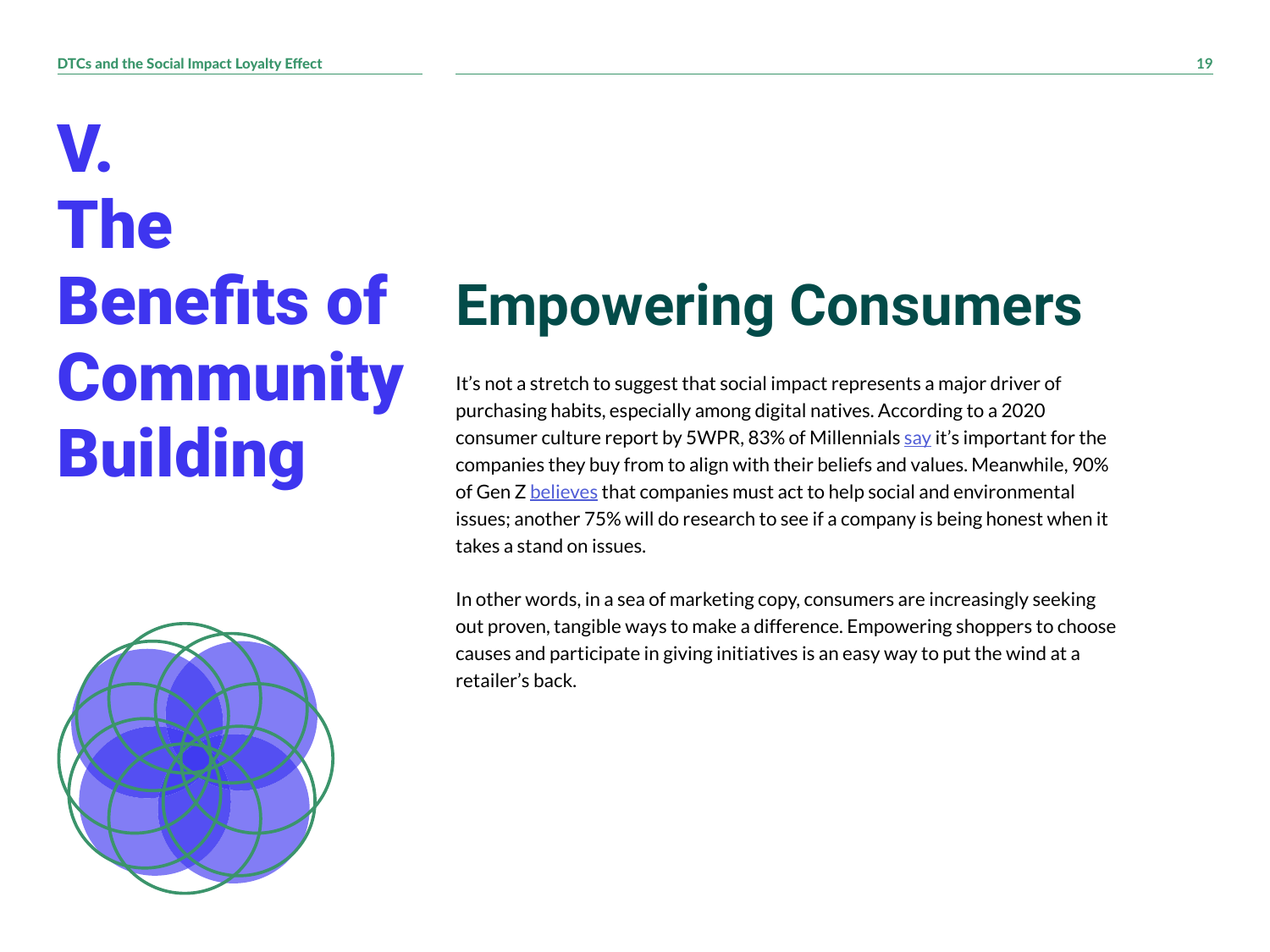V. The Benefits of **Community Building** 

![](_page_18_Picture_2.jpeg)

## **Empowering Consumers**

It's not a stretch to suggest that social impact represents a major driver of purchasing habits, especially among digital natives. According to a 2020 consumer culture report by 5WPR, 83% of Millennials [say](https://www.5wpr.com/new/wp-content/uploads/pdf/5W_consumer_culture_report_2020final.pdf) it's important for the companies they buy from to align with their beliefs and values. Meanwhile, 90% of Gen Z [believes](https://www.conecomm.com/research-blog/cone-gen-z-purpose-study) that companies must act to help social and environmental issues; another 75% will do research to see if a company is being honest when it takes a stand on issues.

In other words, in a sea of marketing copy, consumers are increasingly seeking out proven, tangible ways to make a difference. Empowering shoppers to choose causes and participate in giving initiatives is an easy way to put the wind at a retailer's back.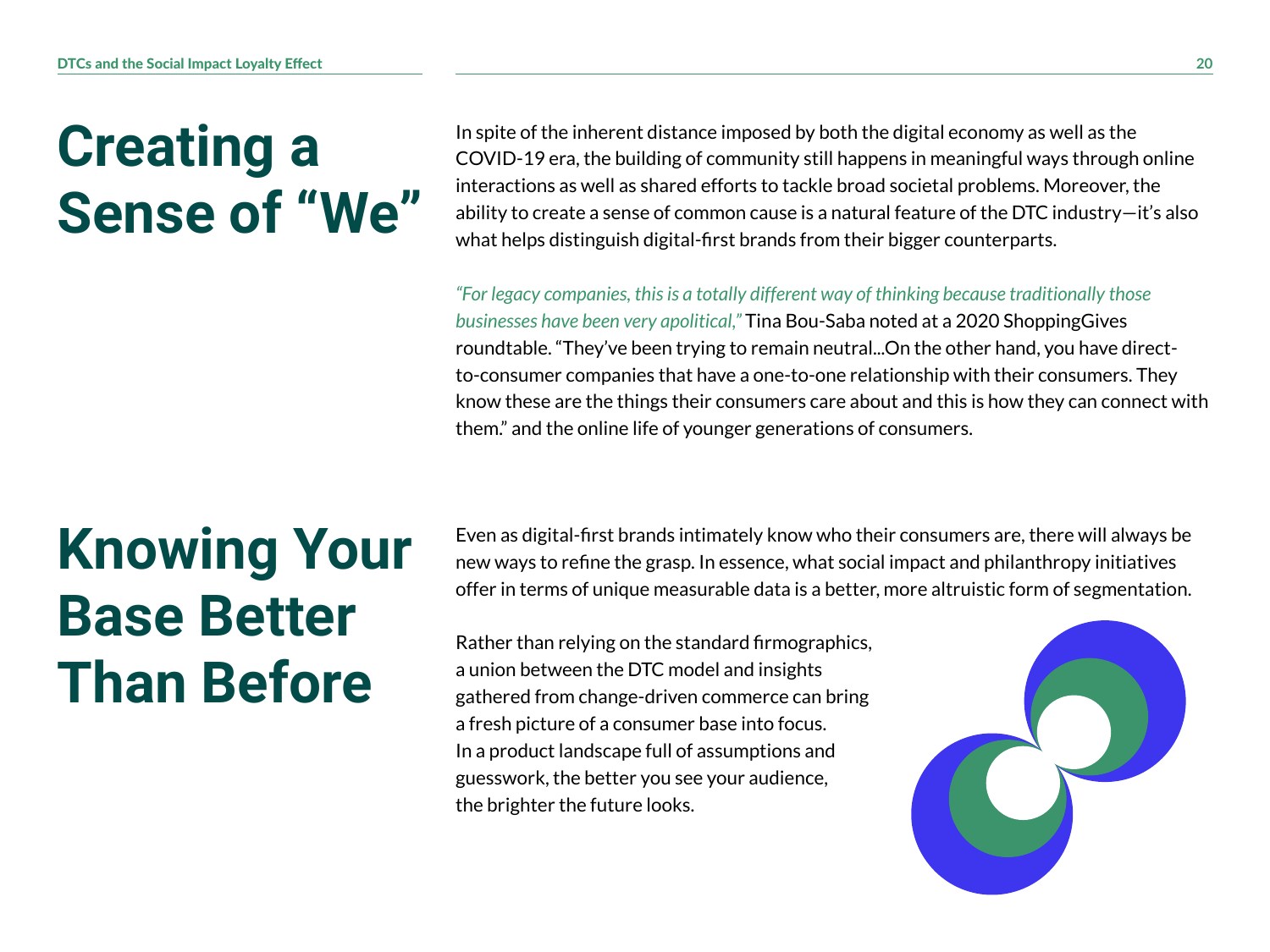#### **Creating a Sense of "We"**

In spite of the inherent distance imposed by both the digital economy as well as the COVID-19 era, the building of community still happens in meaningful ways through online interactions as well as shared efforts to tackle broad societal problems. Moreover, the ability to create a sense of common cause is a natural feature of the DTC industry—it's also what helps distinguish digital-first brands from their bigger counterparts.

*"For legacy companies, this is a totally different way of thinking because traditionally those businesses have been very apolitical,"* Tina Bou-Saba noted at a 2020 ShoppingGives roundtable. "They've been trying to remain neutral...On the other hand, you have directto-consumer companies that have a one-to-one relationship with their consumers. They know these are the things their consumers care about and this is how they can connect with them." and the online life of younger generations of consumers.

#### **Knowing Your Base Better Than Before**

Even as digital-first brands intimately know who their consumers are, there will always be new ways to refine the grasp. In essence, what social impact and philanthropy initiatives offer in terms of unique measurable data is a better, more altruistic form of segmentation.

Rather than relying on the standard firmographics, a union between the DTC model and insights gathered from change-driven commerce can bring a fresh picture of a consumer base into focus. In a product landscape full of assumptions and guesswork, the better you see your audience, the brighter the future looks.

![](_page_19_Picture_7.jpeg)